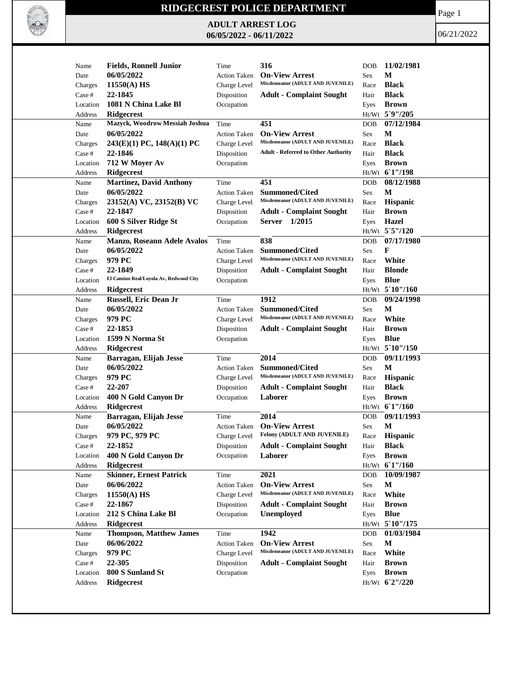

## **RIDGECREST POLICE DEPARTMENT**

**ADULT ARREST LOG 06/05/2022 - 06/11/2022**

Page 1

06/21/2022

| Name     | <b>Fields, Ronnell Junior</b>          | Time                | 316                                                       | <b>DOB</b> | 11/02/1981        |
|----------|----------------------------------------|---------------------|-----------------------------------------------------------|------------|-------------------|
| Date     | 06/05/2022                             | <b>Action Taken</b> | <b>On-View Arrest</b>                                     | Sex        | М                 |
| Charges  | $11550(A)$ HS                          | Charge Level        | Misdemeanor (ADULT AND JUVENILE)                          | Race       | <b>Black</b>      |
| Case #   | 22-1845                                | Disposition         | <b>Adult - Complaint Sought</b>                           | Hair       | <b>Black</b>      |
| Location | 1081 N China Lake Bl                   | Occupation          |                                                           | Eyes       | <b>Brown</b>      |
| Address  | Ridgecrest                             |                     |                                                           |            | Ht/Wt 5`9"/205    |
| Name     | Mazyck, Woodrow Messiah Joshua         | Time                | 451                                                       | <b>DOB</b> | 07/12/1984        |
| Date     | 06/05/2022                             | <b>Action Taken</b> | <b>On-View Arrest</b>                                     | Sex        | М                 |
| Charges  | 243(E)(1) PC, 148(A)(1) PC             | Charge Level        | Misdemeanor (ADULT AND JUVENILE)                          | Race       | <b>Black</b>      |
| Case #   | 22-1846                                | Disposition         | <b>Adult - Referred to Other Authority</b>                | Hair       | <b>Black</b>      |
| Location | 712 W Moyer Av                         | Occupation          |                                                           | Eyes       | <b>Brown</b>      |
| Address  | <b>Ridgecrest</b>                      |                     |                                                           |            | Ht/Wt 6'1"/198    |
| Name     | <b>Martinez, David Anthony</b>         | Time                | 451                                                       | <b>DOB</b> | 08/12/1988        |
| Date     | 06/05/2022                             | <b>Action Taken</b> | <b>Summoned/Cited</b>                                     | Sex        | M                 |
|          | 23152(A) VC, 23152(B) VC               | Charge Level        | Misdemeanor (ADULT AND JUVENILE)                          | Race       | Hispanic          |
| Charges  | 22-1847                                |                     |                                                           |            | <b>Brown</b>      |
| Case #   |                                        | Disposition         | <b>Adult - Complaint Sought</b>                           | Hair       |                   |
| Location | 600 S Silver Ridge St                  | Occupation          | Server 1/2015                                             | Eyes       | <b>Hazel</b>      |
| Address  | Ridgecrest                             |                     |                                                           |            | Ht/Wt 5`5"/120    |
| Name     | <b>Manzo, Roseann Adele Avalos</b>     | Time                | 838                                                       | <b>DOB</b> | 07/17/1980        |
| Date     | 06/05/2022                             | <b>Action Taken</b> | <b>Summoned/Cited</b>                                     | Sex        | F                 |
| Charges  | 979 PC                                 | Charge Level        | Misdemeanor (ADULT AND JUVENILE)                          | Race       | White             |
| Case #   | 22-1849                                | Disposition         | <b>Adult - Complaint Sought</b>                           | Hair       | <b>Blonde</b>     |
| Location | El Camino Real/Loyola Av, Redwood City | Occupation          |                                                           | Eyes       | <b>Blue</b>       |
| Address  | <b>Ridgecrest</b>                      |                     |                                                           |            | Ht/Wt 5`10"/160   |
| Name     | <b>Russell, Eric Dean Jr</b>           | Time                | 1912                                                      | <b>DOB</b> | 09/24/1998        |
| Date     | 06/05/2022                             | <b>Action Taken</b> | <b>Summoned/Cited</b>                                     | Sex        | М                 |
| Charges  | 979 PC                                 | Charge Level        | Misdemeanor (ADULT AND JUVENILE)                          | Race       | White             |
| Case #   | 22-1853                                | Disposition         | <b>Adult - Complaint Sought</b>                           | Hair       | <b>Brown</b>      |
| Location | 1599 N Norma St                        | Occupation          |                                                           | Eyes       | <b>Blue</b>       |
| Address  | <b>Ridgecrest</b>                      |                     |                                                           |            | $Ht/Wt$ 5 10"/150 |
| Name     | Barragan, Elijah Jesse                 | Time                | 2014                                                      | <b>DOB</b> | 09/11/1993        |
| Date     | 06/05/2022                             | <b>Action Taken</b> | <b>Summoned/Cited</b>                                     | Sex        | M                 |
| Charges  | 979 PC                                 | Charge Level        | Misdemeanor (ADULT AND JUVENILE)                          | Race       | Hispanic          |
| Case #   | 22-207                                 | Disposition         | <b>Adult - Complaint Sought</b>                           | Hair       | <b>Black</b>      |
| Location | 400 N Gold Canyon Dr                   | Occupation          | Laborer                                                   | Eyes       | <b>Brown</b>      |
| Address  | Ridgecrest                             |                     |                                                           |            | Ht/Wt 61"/160     |
| Name     | Barragan, Elijah Jesse                 | Time                | 2014                                                      | <b>DOB</b> | 09/11/1993        |
| Date     | 06/05/2022                             | <b>Action Taken</b> | <b>On-View Arrest</b>                                     | Sex        | $\mathbf M$       |
| Charges  | 979 PC, 979 PC                         | Charge Level        | <b>Felony (ADULT AND JUVENILE)</b>                        | Race       | <b>Hispanic</b>   |
| Case #   | 22-1852                                | Disposition         | <b>Adult - Complaint Sought</b>                           | Hair       | <b>Black</b>      |
| Location | 400 N Gold Canyon Dr                   | Occupation          | Laborer                                                   | Eyes       | <b>Brown</b>      |
| Address  | Ridgecrest                             |                     |                                                           |            | Ht/Wt 6'1"/160    |
|          |                                        |                     |                                                           |            | 10/09/1987        |
| Name     | <b>Skinner, Ernest Patrick</b>         | Time                | 2021                                                      | DOB        |                   |
| Date     | 06/06/2022                             | Action Taken        | <b>On-View Arrest</b><br>Misdemeanor (ADULT AND JUVENILE) | Sex        | M                 |
| Charges  | $11550(A)$ HS                          | Charge Level        |                                                           | Race       | White             |
| Case #   | 22-1867                                | Disposition         | <b>Adult - Complaint Sought</b>                           | Hair       | <b>Brown</b>      |
| Location | 212 S China Lake Bl                    | Occupation          | <b>Unemployed</b>                                         | Eyes       | <b>Blue</b>       |
| Address  | <b>Ridgecrest</b>                      |                     |                                                           |            | Ht/Wt 5 10"/175   |
| Name     | <b>Thompson, Matthew James</b>         | Time                | 1942                                                      | <b>DOB</b> | 01/03/1984        |
| Date     | 06/06/2022                             | Action Taken        | <b>On-View Arrest</b>                                     | Sex        | M                 |
| Charges  | 979 PC                                 | Charge Level        | Misdemeanor (ADULT AND JUVENILE)                          | Race       | White             |
| Case #   | 22-305                                 | Disposition         | <b>Adult - Complaint Sought</b>                           | Hair       | <b>Brown</b>      |
| Location | 800 S Sunland St                       | Occupation          |                                                           | Eyes       | <b>Brown</b>      |
| Address  | <b>Ridgecrest</b>                      |                     |                                                           |            | Ht/Wt 62"/220     |
|          |                                        |                     |                                                           |            |                   |
|          |                                        |                     |                                                           |            |                   |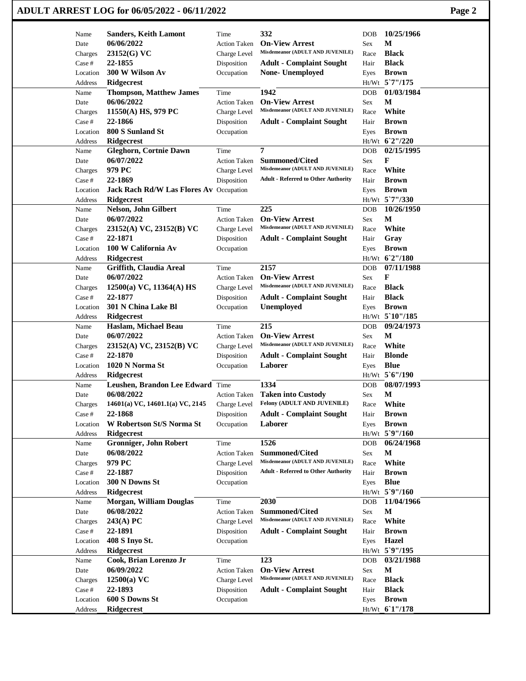|                     | ADULT ARREST LOG for 06/05/2022 - 06/11/2022 |                                     |                                                           |              |                                 |  |  |
|---------------------|----------------------------------------------|-------------------------------------|-----------------------------------------------------------|--------------|---------------------------------|--|--|
| Name                | <b>Sanders, Keith Lamont</b>                 | Time                                | 332                                                       | <b>DOB</b>   | 10/25/1966                      |  |  |
| Date                | 06/06/2022                                   | <b>Action Taken</b>                 | <b>On-View Arrest</b>                                     | Sex          | М                               |  |  |
| Charges             | 23152(G) VC                                  | Charge Level                        | Misdemeanor (ADULT AND JUVENILE)                          | Race         | <b>Black</b>                    |  |  |
| Case #              | 22-1855                                      | Disposition                         | <b>Adult - Complaint Sought</b>                           | Hair         | <b>Black</b>                    |  |  |
| Location            | 300 W Wilson Av                              | Occupation                          | None- Unemployed                                          | Eyes         | <b>Brown</b>                    |  |  |
| Address             | Ridgecrest                                   |                                     |                                                           |              | Ht/Wt 5'7"/175                  |  |  |
| Name                | <b>Thompson, Matthew James</b>               | Time                                | 1942                                                      | DOB          | 01/03/1984                      |  |  |
| Date                | 06/06/2022                                   | <b>Action Taken</b>                 | <b>On-View Arrest</b><br>Misdemeanor (ADULT AND JUVENILE) | Sex          | М                               |  |  |
| Charges             | 11550(A) HS, 979 PC<br>22-1866               | Charge Level<br>Disposition         |                                                           | Race         | White<br><b>Brown</b>           |  |  |
| Case #<br>Location  | 800 S Sunland St                             | Occupation                          | <b>Adult - Complaint Sought</b>                           | Hair<br>Eyes | <b>Brown</b>                    |  |  |
| Address             | <b>Ridgecrest</b>                            |                                     |                                                           |              | Ht/Wt 62"/220                   |  |  |
| Name                | <b>Gleghorn, Cortnie Dawn</b>                | Time                                | $\overline{7}$                                            | DOB          | 02/15/1995                      |  |  |
| Date                | 06/07/2022                                   | <b>Action Taken</b>                 | <b>Summoned/Cited</b>                                     | Sex          | F                               |  |  |
| Charges             | 979 PC                                       | Charge Level                        | Misdemeanor (ADULT AND JUVENILE)                          | Race         | White                           |  |  |
| Case #              | 22-1869                                      | Disposition                         | <b>Adult - Referred to Other Authority</b>                | Hair         | <b>Brown</b>                    |  |  |
| Location            | Jack Rach Rd/W Las Flores Av Occupation      |                                     |                                                           | Eyes         | <b>Brown</b>                    |  |  |
| Address             | <b>Ridgecrest</b>                            |                                     |                                                           |              | Ht/Wt 5`7"/330                  |  |  |
| Name                | Nelson, John Gilbert                         | Time                                | 225                                                       | <b>DOB</b>   | 10/26/1950                      |  |  |
| Date                | 06/07/2022                                   | <b>Action Taken</b>                 | <b>On-View Arrest</b>                                     | Sex          | M                               |  |  |
| Charges             | 23152(A) VC, 23152(B) VC                     | Charge Level                        | Misdemeanor (ADULT AND JUVENILE)                          | Race         | White                           |  |  |
| Case #              | 22-1871                                      | Disposition                         | <b>Adult - Complaint Sought</b>                           | Hair         | Gray                            |  |  |
| Location            | 100 W California Av                          | Occupation                          |                                                           | Eyes         | <b>Brown</b>                    |  |  |
| Address             | Ridgecrest                                   |                                     |                                                           |              | Ht/Wt 6'2"/180                  |  |  |
| Name                | Griffith, Claudia Areal                      | Time                                | 2157                                                      | <b>DOB</b>   | 07/11/1988                      |  |  |
| Date                | 06/07/2022                                   | <b>Action Taken</b>                 | <b>On-View Arrest</b><br>Misdemeanor (ADULT AND JUVENILE) | Sex          | F                               |  |  |
| Charges             | $12500(a)$ VC, $11364(A)$ HS                 | Charge Level                        |                                                           | Race         | <b>Black</b>                    |  |  |
| Case #              | 22-1877                                      | Disposition                         | <b>Adult - Complaint Sought</b>                           | Hair         | <b>Black</b>                    |  |  |
| Location<br>Address | 301 N China Lake Bl<br><b>Ridgecrest</b>     | Occupation                          | Unemployed                                                | Eyes         | <b>Brown</b><br>Ht/Wt 5`10"/185 |  |  |
| Name                | Haslam, Michael Beau                         | Time                                | 215                                                       | DOB          | 09/24/1973                      |  |  |
| Date                | 06/07/2022                                   | <b>Action Taken</b>                 | <b>On-View Arrest</b>                                     | Sex          | М                               |  |  |
| Charges             | 23152(A) VC, 23152(B) VC                     | Charge Level                        | Misdemeanor (ADULT AND JUVENILE)                          | Race         | White                           |  |  |
| Case #              | 22-1870                                      | Disposition                         | <b>Adult - Complaint Sought</b>                           | Hair         | <b>Blonde</b>                   |  |  |
| Location            | 1020 N Norma St                              | Occupation                          | Laborer                                                   | Eyes         | <b>Blue</b>                     |  |  |
| Address             | Ridgecrest                                   |                                     |                                                           |              | Ht/Wt 5'6"/190                  |  |  |
| Name                | Leushen, Brandon Lee Edward Time             |                                     | 1334                                                      | DOB          | 08/07/1993                      |  |  |
| Date                | 06/08/2022                                   | <b>Action Taken</b>                 | <b>Taken into Custody</b>                                 | Sex          | $\mathbf M$                     |  |  |
| Charges             | 14601(a) VC, 14601.1(a) VC, 2145             | Charge Level                        | Felony (ADULT AND JUVENILE)                               | Race         | White                           |  |  |
| Case #              | 22-1868                                      | Disposition                         | <b>Adult - Complaint Sought</b>                           | Hair         | <b>Brown</b>                    |  |  |
| Location            | W Robertson St/S Norma St                    | Occupation                          | Laborer                                                   | Eyes         | <b>Brown</b>                    |  |  |
| Address             | <b>Ridgecrest</b>                            |                                     |                                                           |              | Ht/Wt 5`9"/160                  |  |  |
| Name                | <b>Gronniger, John Robert</b>                | Time                                | 1526                                                      | <b>DOB</b>   | 06/24/1968                      |  |  |
| Date                | 06/08/2022                                   | <b>Action Taken</b>                 | <b>Summoned/Cited</b>                                     | Sex          | М                               |  |  |
| Charges             | 979 PC                                       | Charge Level                        | Misdemeanor (ADULT AND JUVENILE)                          | Race         | White                           |  |  |
| Case #              | 22-1887                                      | Disposition                         | <b>Adult - Referred to Other Authority</b>                | Hair         | <b>Brown</b>                    |  |  |
| Location            | 300 N Downs St                               | Occupation                          |                                                           | Eyes         | <b>Blue</b>                     |  |  |
| Address             | <b>Ridgecrest</b>                            |                                     | 2030                                                      |              | Ht/Wt 5`9"/160<br>11/04/1966    |  |  |
| Name                | <b>Morgan, William Douglas</b><br>06/08/2022 | Time                                | <b>Summoned/Cited</b>                                     | DOB          | $\mathbf M$                     |  |  |
| Date<br>Charges     | 243(A) PC                                    | <b>Action Taken</b><br>Charge Level | Misdemeanor (ADULT AND JUVENILE)                          | Sex<br>Race  | White                           |  |  |
| Case #              | 22-1891                                      | Disposition                         | <b>Adult - Complaint Sought</b>                           | Hair         | <b>Brown</b>                    |  |  |
| Location            | 408 S Inyo St.                               | Occupation                          |                                                           | Eyes         | Hazel                           |  |  |
| Address             | <b>Ridgecrest</b>                            |                                     |                                                           |              | Ht/Wt 5`9"/195                  |  |  |
| Name                | Cook, Brian Lorenzo Jr                       | Time                                | 123                                                       | DOB          | 03/21/1988                      |  |  |
| Date                | 06/09/2022                                   | <b>Action Taken</b>                 | <b>On-View Arrest</b>                                     | Sex          | M                               |  |  |
| Charges             | $12500(a)$ VC                                | Charge Level                        | Misdemeanor (ADULT AND JUVENILE)                          | Race         | <b>Black</b>                    |  |  |
| Case #              | 22-1893                                      | Disposition                         | <b>Adult - Complaint Sought</b>                           | Hair         | <b>Black</b>                    |  |  |
| Location            | 600 S Downs St                               | Occupation                          |                                                           | Eyes         | <b>Brown</b>                    |  |  |
| Address             | Ridgecrest                                   |                                     |                                                           |              | Ht/Wt 61"/178                   |  |  |
|                     |                                              |                                     |                                                           |              |                                 |  |  |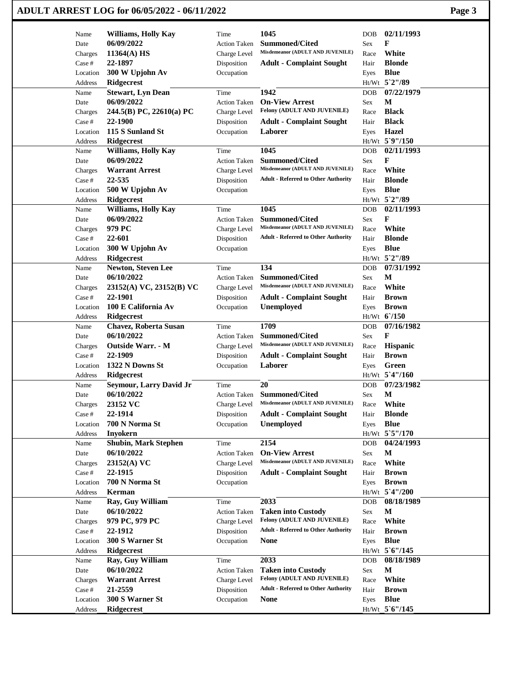|                         | ADULT ARREST LOG for 06/05/2022 - 06/11/2022 |                             |                                                           |                              | Page 3 |
|-------------------------|----------------------------------------------|-----------------------------|-----------------------------------------------------------|------------------------------|--------|
| Name                    | <b>Williams, Holly Kay</b>                   | Time                        | 1045                                                      | 02/11/1993<br><b>DOB</b>     |        |
| Date                    | 06/09/2022                                   | <b>Action Taken</b>         | <b>Summoned/Cited</b>                                     | F<br>Sex                     |        |
| Charges                 | $11364(A)$ HS                                | Charge Level                | Misdemeanor (ADULT AND JUVENILE)                          | White<br>Race                |        |
| Case #                  | 22-1897                                      | Disposition                 | <b>Adult - Complaint Sought</b>                           | <b>Blonde</b><br>Hair        |        |
| Location                | 300 W Upjohn Av                              | Occupation                  |                                                           | <b>Blue</b><br>Eyes          |        |
| Address                 | Ridgecrest                                   |                             |                                                           | Ht/Wt 5`2"/89                |        |
| Name                    | <b>Stewart, Lyn Dean</b>                     | Time                        | 1942                                                      | 07/22/1979<br>DOB            |        |
| Date                    | 06/09/2022                                   | <b>Action Taken</b>         | <b>On-View Arrest</b>                                     | М<br>Sex                     |        |
| Charges                 | 244.5(B) PC, 22610(a) PC                     | Charge Level                | Felony (ADULT AND JUVENILE)                               | <b>Black</b><br>Race         |        |
| Case #                  | 22-1900                                      | Disposition                 | <b>Adult - Complaint Sought</b>                           | <b>Black</b><br>Hair         |        |
| Location                | 115 S Sunland St                             | Occupation                  | Laborer                                                   | Hazel<br>Eyes                |        |
| Address                 | <b>Ridgecrest</b>                            |                             |                                                           | Ht/Wt 5`9"/150               |        |
| Name                    | <b>Williams, Holly Kay</b>                   | Time                        | 1045                                                      | 02/11/1993<br>DOB            |        |
| Date                    | 06/09/2022                                   | <b>Action Taken</b>         | <b>Summoned/Cited</b><br>Misdemeanor (ADULT AND JUVENILE) | F<br>Sex                     |        |
| Charges                 | <b>Warrant Arrest</b><br>22-535              | Charge Level                |                                                           | White<br>Race                |        |
| Case #                  |                                              | Disposition                 | <b>Adult - Referred to Other Authority</b>                | <b>Blonde</b><br>Hair        |        |
| Location                | 500 W Upjohn Av                              | Occupation                  |                                                           | <b>Blue</b><br>Eyes          |        |
| Address                 | <b>Ridgecrest</b>                            |                             | 1045                                                      | Ht/Wt 5`2"/89<br>02/11/1993  |        |
| Name<br>Date            | <b>Williams, Holly Kay</b><br>06/09/2022     | Time<br><b>Action Taken</b> | <b>Summoned/Cited</b>                                     | <b>DOB</b><br>F<br>Sex       |        |
|                         | 979 PC                                       | Charge Level                | Misdemeanor (ADULT AND JUVENILE)                          | White<br>Race                |        |
| Charges<br>Case #       | 22-601                                       | Disposition                 | <b>Adult - Referred to Other Authority</b>                | <b>Blonde</b><br>Hair        |        |
| Location                | 300 W Upjohn Av                              | Occupation                  |                                                           | <b>Blue</b><br>Eyes          |        |
| Address                 | Ridgecrest                                   |                             |                                                           | Ht/Wt 5`2"/89                |        |
| Name                    | Newton, Steven Lee                           | Time                        | 134                                                       | 07/31/1992<br><b>DOB</b>     |        |
| Date                    | 06/10/2022                                   | <b>Action Taken</b>         | <b>Summoned/Cited</b>                                     | М<br>Sex                     |        |
| Charges                 | 23152(A) VC, 23152(B) VC                     | Charge Level                | Misdemeanor (ADULT AND JUVENILE)                          | White<br>Race                |        |
| Case #                  | 22-1901                                      | Disposition                 | <b>Adult - Complaint Sought</b>                           | <b>Brown</b><br>Hair         |        |
| Location                | 100 E California Av                          | Occupation                  | Unemployed                                                | <b>Brown</b><br>Eyes         |        |
| Address                 | Ridgecrest                                   |                             |                                                           | $Ht/Wt$ 6/150                |        |
| Name                    | <b>Chavez, Roberta Susan</b>                 | Time                        | 1709                                                      | 07/16/1982<br><b>DOB</b>     |        |
| Date                    | 06/10/2022                                   | <b>Action Taken</b>         | <b>Summoned/Cited</b>                                     | F<br>Sex                     |        |
| Charges                 | <b>Outside Warr. - M</b>                     | Charge Level                | Misdemeanor (ADULT AND JUVENILE)                          | Hispanic<br>Race             |        |
| Case #                  | 22-1909                                      | Disposition                 | <b>Adult - Complaint Sought</b>                           | <b>Brown</b><br>Hair         |        |
| Location                | 1322 N Downs St                              | Occupation                  | Laborer                                                   | Green<br>Eyes                |        |
| Address                 | Ridgecrest                                   |                             |                                                           | Ht/Wt 5'4"/160               |        |
| Name                    | Seymour, Larry David Jr                      | Time                        | 20                                                        | 07/23/1982<br>DOB            |        |
| Date                    | 06/10/2022                                   | <b>Action Taken</b>         | Summoned/Cited                                            | $\mathbf M$<br>Sex           |        |
| Charges                 | 23152 VC                                     | Charge Level                | Misdemeanor (ADULT AND JUVENILE)                          | White<br>Race                |        |
| Case #                  | 22-1914                                      | Disposition                 | <b>Adult - Complaint Sought</b>                           | <b>Blonde</b><br>Hair        |        |
| Location                | 700 N Norma St                               | Occupation                  | <b>Unemployed</b>                                         | <b>Blue</b><br>Eyes          |        |
| Address                 | <b>Inyokern</b>                              |                             |                                                           | Ht/Wt 5`5"/170               |        |
| Name                    | <b>Shubin, Mark Stephen</b>                  | Time                        | 2154                                                      | 04/24/1993<br><b>DOB</b>     |        |
| Date                    | 06/10/2022<br>23152(A) VC                    | <b>Action Taken</b>         | <b>On-View Arrest</b><br>Misdemeanor (ADULT AND JUVENILE) | M<br>Sex<br>White            |        |
| Charges<br>Case #       | 22-1915                                      | Charge Level                |                                                           | Race<br>Hair<br><b>Brown</b> |        |
| Location                | 700 N Norma St                               | Disposition<br>Occupation   | <b>Adult - Complaint Sought</b>                           | <b>Brown</b>                 |        |
| Address                 | Kerman                                       |                             |                                                           | Eyes<br>Ht/Wt 5'4"/200       |        |
| Name                    | Ray, Guy William                             | Time                        | 2033                                                      | 08/18/1989<br>DOB            |        |
| Date                    | 06/10/2022                                   | <b>Action Taken</b>         | <b>Taken into Custody</b>                                 | М<br>Sex                     |        |
| Charges                 | 979 PC, 979 PC                               | Charge Level                | Felony (ADULT AND JUVENILE)                               | White<br>Race                |        |
| Case #                  | 22-1912                                      | Disposition                 | <b>Adult - Referred to Other Authority</b>                | <b>Brown</b><br>Hair         |        |
| Location                | 300 S Warner St                              | Occupation                  | <b>None</b>                                               | <b>Blue</b><br>Eyes          |        |
| Address                 | <b>Ridgecrest</b>                            |                             |                                                           | Ht/Wt 5'6"/145               |        |
| Name                    | Ray, Guy William                             | Time                        | 2033                                                      | 08/18/1989<br><b>DOB</b>     |        |
| Date                    | 06/10/2022                                   | <b>Action Taken</b>         | <b>Taken into Custody</b>                                 | $\mathbf M$<br>Sex           |        |
| Charges                 | <b>Warrant Arrest</b>                        | Charge Level                | Felony (ADULT AND JUVENILE)                               | White<br>Race                |        |
| $\operatorname{Case}$ # | 21-2559                                      | Disposition                 | <b>Adult - Referred to Other Authority</b>                | <b>Brown</b><br>Hair         |        |
| Location                | 300 S Warner St                              | Occupation                  | <b>None</b>                                               | <b>Blue</b><br>Eyes          |        |
| Address                 | Ridgecrest                                   |                             |                                                           | Ht/Wt_5`6"/145               |        |
|                         |                                              |                             |                                                           |                              |        |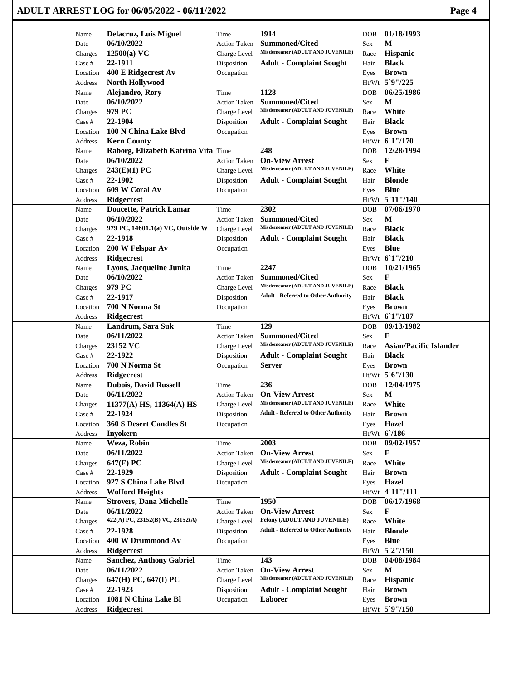|                     | ADULT ARREST LOG for 06/05/2022 - 06/11/2022      |                             |                                                           |             | Page 4                        |
|---------------------|---------------------------------------------------|-----------------------------|-----------------------------------------------------------|-------------|-------------------------------|
| Name                | <b>Delacruz, Luis Miguel</b>                      | Time                        | 1914                                                      | <b>DOB</b>  | 01/18/1993                    |
| Date                | 06/10/2022                                        | <b>Action Taken</b>         | <b>Summoned/Cited</b>                                     | Sex         | M                             |
| Charges             | $12500(a)$ VC                                     | Charge Level                | Misdemeanor (ADULT AND JUVENILE)                          | Race        | Hispanic                      |
| Case #              | 22-1911                                           | Disposition                 | <b>Adult - Complaint Sought</b>                           | Hair        | <b>Black</b>                  |
| Location            | 400 E Ridgecrest Av                               | Occupation                  |                                                           | Eyes        | <b>Brown</b>                  |
| Address             | <b>North Hollywood</b>                            |                             |                                                           |             | Ht/Wt 5`9"/225                |
| Name                | Alejandro, Rory                                   | Time                        | 1128                                                      | <b>DOB</b>  | 06/25/1986                    |
| Date                | 06/10/2022                                        | <b>Action Taken</b>         | <b>Summoned/Cited</b>                                     | Sex         | M                             |
| Charges             | 979 PC                                            | Charge Level                | Misdemeanor (ADULT AND JUVENILE)                          | Race        | White                         |
| Case #              | 22-1904                                           | Disposition                 | <b>Adult - Complaint Sought</b>                           | Hair        | <b>Black</b>                  |
| Location            | 100 N China Lake Blvd                             | Occupation                  |                                                           | Eyes        | <b>Brown</b>                  |
| Address             | <b>Kern County</b>                                |                             |                                                           |             | Ht/Wt 61"/170                 |
| Name                | Raborg, Elizabeth Katrina Vita Time<br>06/10/2022 |                             | 248<br><b>On-View Arrest</b>                              | <b>DOB</b>  | 12/28/1994<br>F               |
| Date                | 243(E)(1) PC                                      | <b>Action Taken</b>         | Misdemeanor (ADULT AND JUVENILE)                          | Sex<br>Race | White                         |
| Charges<br>Case #   | 22-1902                                           | Charge Level<br>Disposition | <b>Adult - Complaint Sought</b>                           | Hair        | <b>Blonde</b>                 |
| Location            | 609 W Coral Av                                    | Occupation                  |                                                           |             | <b>Blue</b>                   |
| <b>Address</b>      | <b>Ridgecrest</b>                                 |                             |                                                           | Eyes        | Ht/Wt 5'11"/140               |
| Name                | <b>Doucette, Patrick Lamar</b>                    | Time                        | 2302                                                      | <b>DOB</b>  | 07/06/1970                    |
| Date                | 06/10/2022                                        | <b>Action Taken</b>         | <b>Summoned/Cited</b>                                     | Sex         | M                             |
| Charges             | 979 PC, 14601.1(a) VC, Outside W                  | Charge Level                | Misdemeanor (ADULT AND JUVENILE)                          | Race        | <b>Black</b>                  |
| Case #              | 22-1918                                           | Disposition                 | <b>Adult - Complaint Sought</b>                           | Hair        | <b>Black</b>                  |
| Location            | 200 W Felspar Av                                  | Occupation                  |                                                           | Eyes        | <b>Blue</b>                   |
| Address             | <b>Ridgecrest</b>                                 |                             |                                                           |             | Ht/Wt 61"/210                 |
| Name                | Lyons, Jacqueline Junita                          | Time                        | 2247                                                      | <b>DOB</b>  | 10/21/1965                    |
| Date                | 06/10/2022                                        | <b>Action Taken</b>         | <b>Summoned/Cited</b>                                     | Sex         | F                             |
| Charges             | 979 PC                                            | Charge Level                | Misdemeanor (ADULT AND JUVENILE)                          | Race        | <b>Black</b>                  |
| Case #              | 22-1917                                           | Disposition                 | <b>Adult - Referred to Other Authority</b>                | Hair        | <b>Black</b>                  |
| Location            | 700 N Norma St                                    | Occupation                  |                                                           | Eyes        | <b>Brown</b>                  |
| Address             | <b>Ridgecrest</b>                                 |                             |                                                           |             | Ht/Wt 61"/187                 |
| Name                | Landrum, Sara Suk                                 | Time                        | 129                                                       | <b>DOB</b>  | 09/13/1982                    |
| Date                | 06/11/2022                                        | <b>Action Taken</b>         | <b>Summoned/Cited</b>                                     | Sex         | F                             |
| Charges             | 23152 VC                                          | Charge Level                | Misdemeanor (ADULT AND JUVENILE)                          | Race        | <b>Asian/Pacific Islander</b> |
| Case #              | 22-1922                                           | Disposition                 | <b>Adult - Complaint Sought</b>                           | Hair        | <b>Black</b>                  |
| Location            | 700 N Norma St                                    | Occupation                  | Server                                                    | Eyes        | <b>Brown</b>                  |
| Address             | <b>Ridgecrest</b>                                 |                             |                                                           |             | Ht/Wt 5'6"/130                |
| Name                | Dubois, David Russell                             | Time                        | 236                                                       | DOB         | 12/04/1975                    |
| Date                | 06/11/2022                                        | <b>Action Taken</b>         | <b>On-View Arrest</b>                                     | Sex         | $\mathbf M$                   |
| Charges             | $11377(A)$ HS, $11364(A)$ HS                      | Charge Level                | Misdemeanor (ADULT AND JUVENILE)                          | Race        | White                         |
| Case #              | 22-1924                                           | Disposition                 | <b>Adult - Referred to Other Authority</b>                | Hair        | <b>Brown</b>                  |
| Location            | 360 S Desert Candles St                           | Occupation                  |                                                           | Eyes        | Hazel                         |
| Address             | <b>Inyokern</b>                                   |                             |                                                           |             | Ht/Wt 6'/186                  |
| Name                | Weza, Robin                                       | Time                        | 2003                                                      | <b>DOB</b>  | 09/02/1957                    |
| Date                | 06/11/2022                                        | <b>Action Taken</b>         | <b>On-View Arrest</b><br>Misdemeanor (ADULT AND JUVENILE) | Sex         | F                             |
| Charges             | 647(F) PC                                         | Charge Level                |                                                           | Race        | White                         |
| Case #              | 22-1929<br>927 S China Lake Blvd                  | Disposition<br>Occupation   | <b>Adult - Complaint Sought</b>                           | Hair        | <b>Brown</b><br><b>Hazel</b>  |
| Location<br>Address | <b>Wofford Heights</b>                            |                             |                                                           | Eyes        | Ht/Wt 4'11"/111               |
| Name                | <b>Strovers, Dana Michelle</b>                    | Time                        | 1950                                                      | DOB         | 06/17/1968                    |
| Date                | 06/11/2022                                        | <b>Action Taken</b>         | <b>On-View Arrest</b>                                     | Sex         | F                             |
| Charges             | 422(A) PC, 23152(B) VC, 23152(A)                  | Charge Level                | Felony (ADULT AND JUVENILE)                               | Race        | White                         |
| Case #              | 22-1928                                           | Disposition                 | <b>Adult - Referred to Other Authority</b>                | Hair        | <b>Blonde</b>                 |
| Location            | 400 W Drummond Av                                 | Occupation                  |                                                           | Eyes        | <b>Blue</b>                   |
| Address             | <b>Ridgecrest</b>                                 |                             |                                                           |             | $Ht/Wt$ 5 2"/150              |
| Name                | <b>Sanchez, Anthony Gabriel</b>                   | Time                        | 143                                                       | <b>DOB</b>  | 04/08/1984                    |
| Date                | 06/11/2022                                        | <b>Action Taken</b>         | <b>On-View Arrest</b>                                     | Sex         | $\mathbf M$                   |
| Charges             | 647(H) PC, 647(I) PC                              | Charge Level                | Misdemeanor (ADULT AND JUVENILE)                          | Race        | Hispanic                      |
| Case #              | 22-1923                                           | Disposition                 | <b>Adult - Complaint Sought</b>                           | Hair        | <b>Brown</b>                  |
| Location            | 1081 N China Lake Bl                              | Occupation                  | Laborer                                                   | Eyes        | <b>Brown</b>                  |
| Address             | Ridgecrest                                        |                             |                                                           |             | Ht/Wt 5`9"/150                |
|                     |                                                   |                             |                                                           |             |                               |

 $\mathbf{I}$